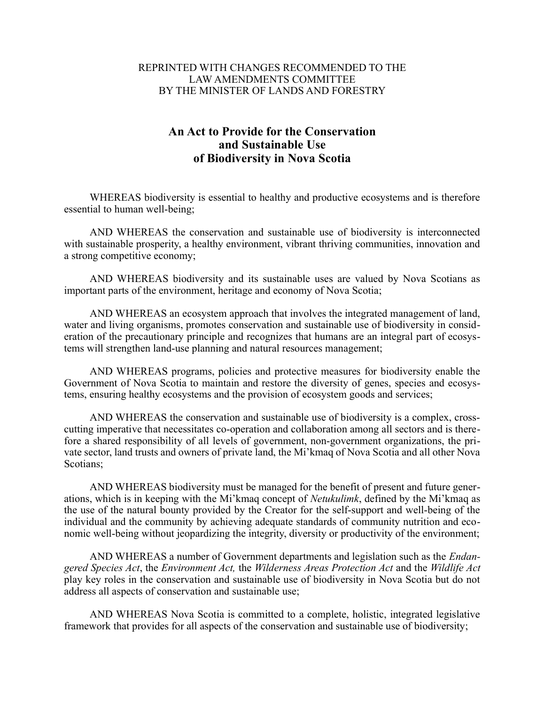## REPRINTED WITH CHANGES RECOMMENDED TO THE LAW AMENDMENTS COMMITTEE BY THE MINISTER OF LANDS AND FORESTRY

# An Act to Provide for the Conservation and Sustainable Use of Biodiversity in Nova Scotia

WHEREAS biodiversity is essential to healthy and productive ecosystems and is therefore essential to human well-being;

AND WHEREAS the conservation and sustainable use of biodiversity is interconnected with sustainable prosperity, a healthy environment, vibrant thriving communities, innovation and a strong competitive economy;

AND WHEREAS biodiversity and its sustainable uses are valued by Nova Scotians as important parts of the environment, heritage and economy of Nova Scotia;

AND WHEREAS an ecosystem approach that involves the integrated management of land, water and living organisms, promotes conservation and sustainable use of biodiversity in consideration of the precautionary principle and recognizes that humans are an integral part of ecosystems will strengthen land-use planning and natural resources management;

AND WHEREAS programs, policies and protective measures for biodiversity enable the Government of Nova Scotia to maintain and restore the diversity of genes, species and ecosystems, ensuring healthy ecosystems and the provision of ecosystem goods and services;

AND WHEREAS the conservation and sustainable use of biodiversity is a complex, crosscutting imperative that necessitates co-operation and collaboration among all sectors and is therefore a shared responsibility of all levels of government, non-government organizations, the private sector, land trusts and owners of private land, the Mi'kmaq of Nova Scotia and all other Nova Scotians;

AND WHEREAS biodiversity must be managed for the benefit of present and future generations, which is in keeping with the Mi'kmaq concept of Netukulimk, defined by the Mi'kmaq as the use of the natural bounty provided by the Creator for the self-support and well-being of the individual and the community by achieving adequate standards of community nutrition and economic well-being without jeopardizing the integrity, diversity or productivity of the environment;

AND WHEREAS a number of Government departments and legislation such as the *Endan*gered Species Act, the Environment Act, the Wilderness Areas Protection Act and the Wildlife Act play key roles in the conservation and sustainable use of biodiversity in Nova Scotia but do not address all aspects of conservation and sustainable use;

AND WHEREAS Nova Scotia is committed to a complete, holistic, integrated legislative framework that provides for all aspects of the conservation and sustainable use of biodiversity;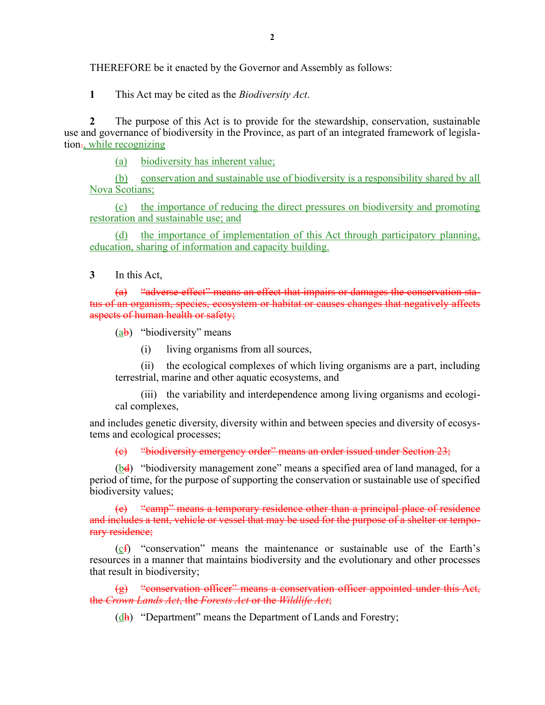THEREFORE be it enacted by the Governor and Assembly as follows:

1 This Act may be cited as the Biodiversity Act.

2 The purpose of this Act is to provide for the stewardship, conservation, sustainable use and governance of biodiversity in the Province, as part of an integrated framework of legislation., while recognizing

(a) biodiversity has inherent value;

(b) conservation and sustainable use of biodiversity is a responsibility shared by all Nova Scotians;

(c) the importance of reducing the direct pressures on biodiversity and promoting restoration and sustainable use; and

(d) the importance of implementation of this Act through participatory planning, education, sharing of information and capacity building.

3 In this Act,

(a) "adverse effect" means an effect that impairs or damages the conservation status of an organism, species, ecosystem or habitat or causes changes that negatively affects aspects of human health or safety;

 $(a\mathbf{b})$  "biodiversity" means

(i) living organisms from all sources,

(ii) the ecological complexes of which living organisms are a part, including terrestrial, marine and other aquatic ecosystems, and

(iii) the variability and interdependence among living organisms and ecological complexes,

and includes genetic diversity, diversity within and between species and diversity of ecosystems and ecological processes;

(c) "biodiversity emergency order" means an order issued under Section 23;

 $(\underline{b}\underline{d})$  "biodiversity management zone" means a specified area of land managed, for a period of time, for the purpose of supporting the conservation or sustainable use of specified biodiversity values;

(e) "camp" means a temporary residence other than a principal place of residence and includes a tent, vehicle or vessel that may be used for the purpose of a shelter or temporary residence;

(cf) "conservation" means the maintenance or sustainable use of the Earth's resources in a manner that maintains biodiversity and the evolutionary and other processes that result in biodiversity;

 $\overline{g}$  "conservation officer" means a conservation officer appointed under this Act, the Crown Lands Act, the Forests Act or the Wildlife Act;

 $(d)$  "Department" means the Department of Lands and Forestry;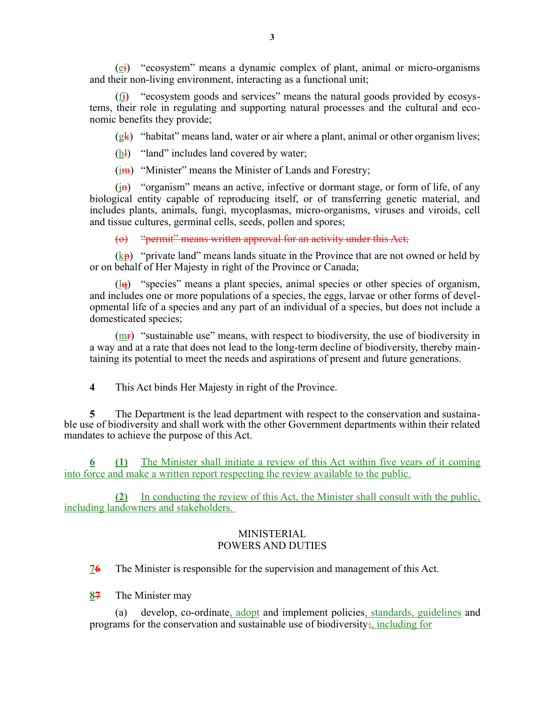$(e_i)$  "ecosystem" means a dynamic complex of plant, animal or micro-organisms and their non-living environment, interacting as a functional unit;

 $(f<sub>i</sub>)$  "ecosystem goods and services" means the natural goods provided by ecosystems, their role in regulating and supporting natural processes and the cultural and economic benefits they provide;

 $(g_k)$  "habitat" means land, water or air where a plant, animal or other organism lives;

 $(h<sup>1</sup>)$  "land" includes land covered by water;

 $(i<sub>m</sub>)$  "Minister" means the Minister of Lands and Forestry;

 $(i<sub>n</sub>)$  "organism" means an active, infective or dormant stage, or form of life, of any biological entity capable of reproducing itself, or of transferring genetic material, and includes plants, animals, fungi, mycoplasmas, micro-organisms, viruses and viroids, cell and tissue cultures, germinal cells, seeds, pollen and spores;

(o) "permit" means written approval for an activity under this Act;

 $(kp)$  "private land" means lands situate in the Province that are not owned or held by or on behalf of Her Majesty in right of the Province or Canada;

 $\left(\frac{1}{9}\right)$  "species" means a plant species, animal species or other species of organism, and includes one or more populations of a species, the eggs, larvae or other forms of developmental life of a species and any part of an individual of a species, but does not include a domesticated species;

(mr) "sustainable use" means, with respect to biodiversity, the use of biodiversity in a way and at a rate that does not lead to the long-term decline of biodiversity, thereby maintaining its potential to meet the needs and aspirations of present and future generations.

4 This Act binds Her Majesty in right of the Province.

5 The Department is the lead department with respect to the conservation and sustainable use of biodiversity and shall work with the other Government departments within their related mandates to achieve the purpose of this Act.

6 (1) The Minister shall initiate a review of this Act within five years of it coming into force and make a written report respecting the review available to the public.

(2) In conducting the review of this Act, the Minister shall consult with the public, including landowners and stakeholders.

# MINISTERIAL POWERS AND DUTIES

76 The Minister is responsible for the supervision and management of this Act.

87 The Minister may

(a) develop, co-ordinate, adopt and implement policies, standards, guidelines and programs for the conservation and sustainable use of biodiversity; including for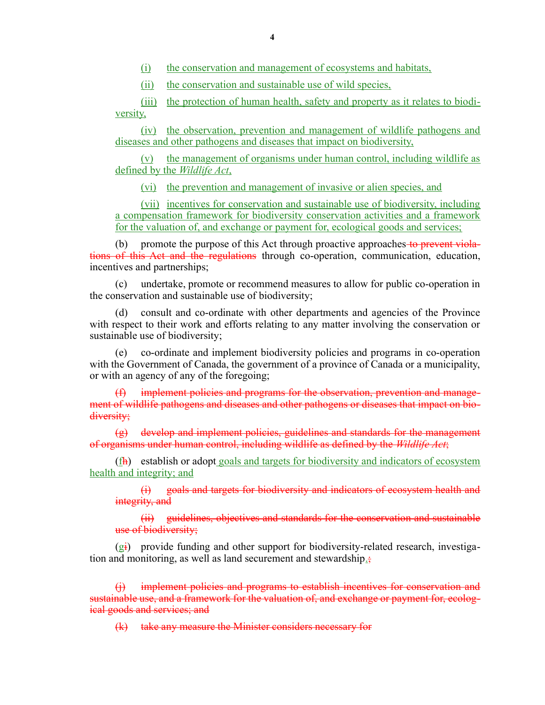(i) the conservation and management of ecosystems and habitats,

(ii) the conservation and sustainable use of wild species,

(iii) the protection of human health, safety and property as it relates to biodiversity,

(iv) the observation, prevention and management of wildlife pathogens and diseases and other pathogens and diseases that impact on biodiversity,

(v) the management of organisms under human control, including wildlife as defined by the *Wildlife Act*,

(vi) the prevention and management of invasive or alien species, and

(vii) incentives for conservation and sustainable use of biodiversity, including a compensation framework for biodiversity conservation activities and a framework for the valuation of, and exchange or payment for, ecological goods and services;

(b) promote the purpose of this Act through proactive approaches to prevent violations of this Act and the regulations through co-operation, communication, education, incentives and partnerships;

(c) undertake, promote or recommend measures to allow for public co-operation in the conservation and sustainable use of biodiversity;

(d) consult and co-ordinate with other departments and agencies of the Province with respect to their work and efforts relating to any matter involving the conservation or sustainable use of biodiversity;

(e) co-ordinate and implement biodiversity policies and programs in co-operation with the Government of Canada, the government of a province of Canada or a municipality, or with an agency of any of the foregoing;

(f) implement policies and programs for the observation, prevention and management of wildlife pathogens and diseases and other pathogens or diseases that impact on biodiversity;

 $(g)$  develop and implement policies, guidelines and standards for the management of organisms under human control, including wildlife as defined by the Wildlife Act;

 $(f<sup>h</sup>)$  establish or adopt goals and targets for biodiversity and indicators of ecosystem health and integrity; and

(i) goals and targets for biodiversity and indicators of ecosystem health and integrity, and

(ii) guidelines, objectives and standards for the conservation and sustainable use of biodiversity;

 $(g<sub>i</sub>)$  provide funding and other support for biodiversity-related research, investigation and monitoring, as well as land securement and stewardship.;

(j) implement policies and programs to establish incentives for conservation and sustainable use, and a framework for the valuation of, and exchange or payment for, ecological goods and services; and

(k) take any measure the Minister considers necessary for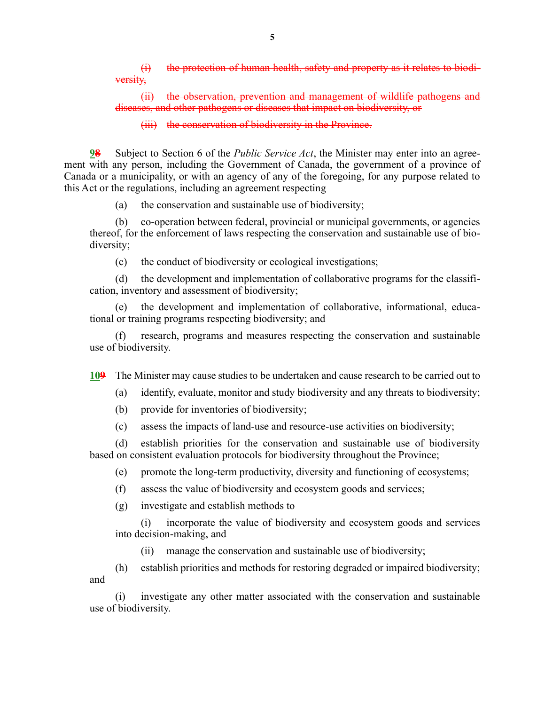(i) the protection of human health, safety and property as it relates to biodiversity,

(ii) the observation, prevention and management of wildlife pathogens and diseases, and other pathogens or diseases that impact on biodiversity, or

(iii) the conservation of biodiversity in the Province.

98 Subject to Section 6 of the Public Service Act, the Minister may enter into an agreement with any person, including the Government of Canada, the government of a province of Canada or a municipality, or with an agency of any of the foregoing, for any purpose related to this Act or the regulations, including an agreement respecting

(a) the conservation and sustainable use of biodiversity;

(b) co-operation between federal, provincial or municipal governments, or agencies thereof, for the enforcement of laws respecting the conservation and sustainable use of biodiversity;

(c) the conduct of biodiversity or ecological investigations;

(d) the development and implementation of collaborative programs for the classification, inventory and assessment of biodiversity;

(e) the development and implementation of collaborative, informational, educational or training programs respecting biodiversity; and

(f) research, programs and measures respecting the conservation and sustainable use of biodiversity.

109 The Minister may cause studies to be undertaken and cause research to be carried out to

(a) identify, evaluate, monitor and study biodiversity and any threats to biodiversity;

(b) provide for inventories of biodiversity;

(c) assess the impacts of land-use and resource-use activities on biodiversity;

(d) establish priorities for the conservation and sustainable use of biodiversity based on consistent evaluation protocols for biodiversity throughout the Province;

(e) promote the long-term productivity, diversity and functioning of ecosystems;

(f) assess the value of biodiversity and ecosystem goods and services;

(g) investigate and establish methods to

(i) incorporate the value of biodiversity and ecosystem goods and services into decision-making, and

(ii) manage the conservation and sustainable use of biodiversity;

(h) establish priorities and methods for restoring degraded or impaired biodiversity; and

(i) investigate any other matter associated with the conservation and sustainable use of biodiversity.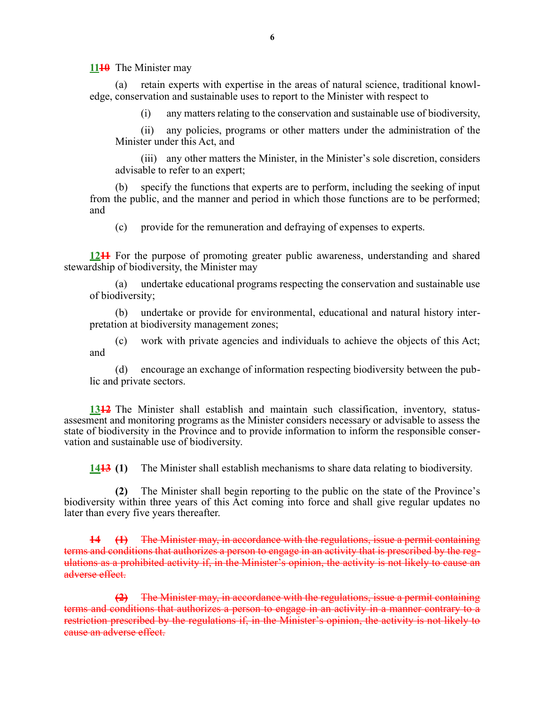11<sup>10</sup> The Minister may

retain experts with expertise in the areas of natural science, traditional knowledge, conservation and sustainable uses to report to the Minister with respect to

(i) any matters relating to the conservation and sustainable use of biodiversity,

(ii) any policies, programs or other matters under the administration of the Minister under this Act, and

(iii) any other matters the Minister, in the Minister's sole discretion, considers advisable to refer to an expert;

(b) specify the functions that experts are to perform, including the seeking of input from the public, and the manner and period in which those functions are to be performed; and

(c) provide for the remuneration and defraying of expenses to experts.

1211 For the purpose of promoting greater public awareness, understanding and shared stewardship of biodiversity, the Minister may

(a) undertake educational programs respecting the conservation and sustainable use of biodiversity;

(b) undertake or provide for environmental, educational and natural history interpretation at biodiversity management zones;

(c) work with private agencies and individuals to achieve the objects of this Act; and

(d) encourage an exchange of information respecting biodiversity between the public and private sectors.

1312 The Minister shall establish and maintain such classification, inventory, statusassesment and monitoring programs as the Minister considers necessary or advisable to assess the state of biodiversity in the Province and to provide information to inform the responsible conservation and sustainable use of biodiversity.

14<sup>13</sup> (1) The Minister shall establish mechanisms to share data relating to biodiversity.

(2) The Minister shall begin reporting to the public on the state of the Province's biodiversity within three years of this Act coming into force and shall give regular updates no later than every five years thereafter.

14 (1) The Minister may, in accordance with the regulations, issue a permit containing terms and conditions that authorizes a person to engage in an activity that is prescribed by the regulations as a prohibited activity if, in the Minister's opinion, the activity is not likely to cause an adverse effect.

 $(2)$  The Minister may, in accordance with the regulations, issue a permit containing terms and conditions that authorizes a person to engage in an activity in a manner contrary to a restriction prescribed by the regulations if, in the Minister's opinion, the activity is not likely to cause an adverse effect.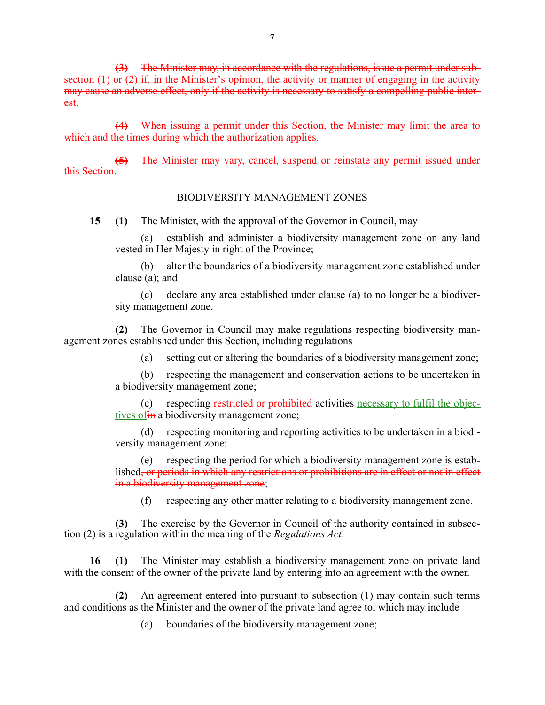(3) The Minister may, in accordance with the regulations, issue a permit under subsection (1) or (2) if, in the Minister's opinion, the activity or manner of engaging in the activity may cause an adverse effect, only if the activity is necessary to satisfy a compelling public interest.

(4) When issuing a permit under this Section, the Minister may limit the area to which and the times during which the authorization applies.

(5) The Minister may vary, cancel, suspend or reinstate any permit issued under this Section.

## BIODIVERSITY MANAGEMENT ZONES

15 (1) The Minister, with the approval of the Governor in Council, may

(a) establish and administer a biodiversity management zone on any land vested in Her Majesty in right of the Province;

(b) alter the boundaries of a biodiversity management zone established under clause (a); and

(c) declare any area established under clause (a) to no longer be a biodiversity management zone.

(2) The Governor in Council may make regulations respecting biodiversity management zones established under this Section, including regulations

(a) setting out or altering the boundaries of a biodiversity management zone;

(b) respecting the management and conservation actions to be undertaken in a biodiversity management zone;

(c) respecting restricted or prohibited activities necessary to fulfil the objectives of the a biodiversity management zone;

(d) respecting monitoring and reporting activities to be undertaken in a biodiversity management zone;

(e) respecting the period for which a biodiversity management zone is established, or periods in which any restrictions or prohibitions are in effect or not in effect in a biodiversity management zone;

(f) respecting any other matter relating to a biodiversity management zone.

(3) The exercise by the Governor in Council of the authority contained in subsection (2) is a regulation within the meaning of the Regulations Act.

16 (1) The Minister may establish a biodiversity management zone on private land with the consent of the owner of the private land by entering into an agreement with the owner.

(2) An agreement entered into pursuant to subsection (1) may contain such terms and conditions as the Minister and the owner of the private land agree to, which may include

(a) boundaries of the biodiversity management zone;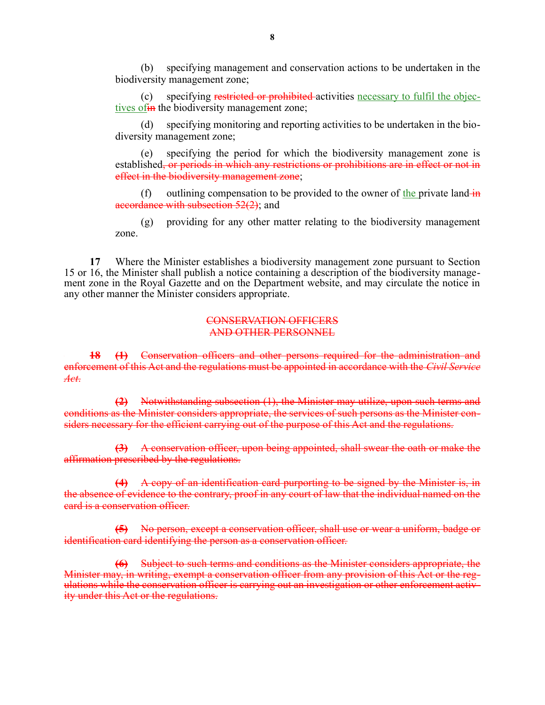(b) specifying management and conservation actions to be undertaken in the biodiversity management zone;

(c) specifying restricted or prohibited activities necessary to fulfil the objectives of the biodiversity management zone;

(d) specifying monitoring and reporting activities to be undertaken in the biodiversity management zone;

(e) specifying the period for which the biodiversity management zone is established, or periods in which any restrictions or prohibitions are in effect or not in effect in the biodiversity management zone;

(f) outlining compensation to be provided to the owner of the private land-in accordance with subsection  $52(2)$ ; and

(g) providing for any other matter relating to the biodiversity management zone.

17 Where the Minister establishes a biodiversity management zone pursuant to Section 15 or 16, the Minister shall publish a notice containing a description of the biodiversity management zone in the Royal Gazette and on the Department website, and may circulate the notice in any other manner the Minister considers appropriate.

## CONSERVATION OFFICERS AND OTHER PERSONNEL

18 (1) Conservation officers and other persons required for the administration and enforcement of this Act and the regulations must be appointed in accordance with the Civil Service Act.

(2) Notwithstanding subsection (1), the Minister may utilize, upon such terms and conditions as the Minister considers appropriate, the services of such persons as the Minister considers necessary for the efficient carrying out of the purpose of this Act and the regulations.

(3) A conservation officer, upon being appointed, shall swear the oath or make the affirmation prescribed by the regulations.

(4) A copy of an identification card purporting to be signed by the Minister is, in the absence of evidence to the contrary, proof in any court of law that the individual named on the card is a conservation officer.

(5) No person, except a conservation officer, shall use or wear a uniform, badge or identification card identifying the person as a conservation officer.

(6) Subject to such terms and conditions as the Minister considers appropriate, the Minister may, in writing, exempt a conservation officer from any provision of this Act or the regulations while the conservation officer is carrying out an investigation or other enforcement activity under this Act or the regulations.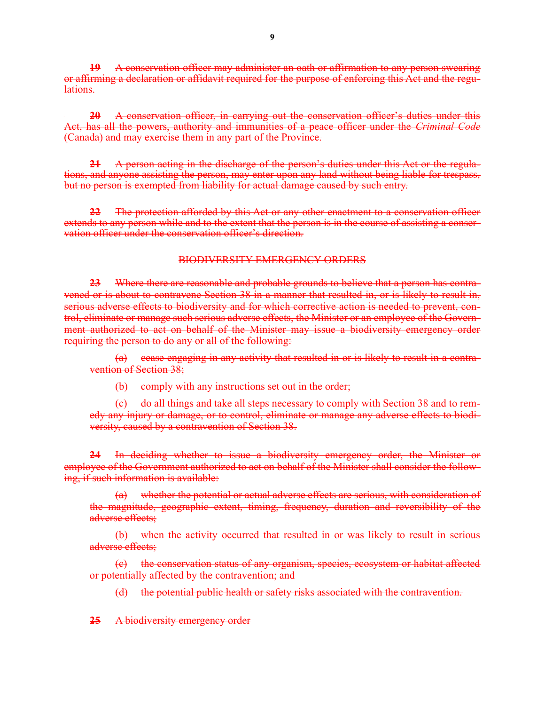A conservation officer may administer an oath or affirmation to any person swearing or affirming a declaration or affidavit required for the purpose of enforcing this Act and the regulations.

20 A conservation officer, in carrying out the conservation officer's duties under this Act, has all the powers, authority and immunities of a peace officer under the Criminal Code (Canada) and may exercise them in any part of the Province.

21 A person acting in the discharge of the person's duties under this Act or the regulations, and anyone assisting the person, may enter upon any land without being liable for trespass, but no person is exempted from liability for actual damage caused by such entry.

22 The protection afforded by this Act or any other enactment to a conservation officer extends to any person while and to the extent that the person is in the course of assisting a conservation officer under the conservation officer's direction.

# BIODIVERSITY EMERGENCY ORDERS

23 Where there are reasonable and probable grounds to believe that a person has contravened or is about to contravene Section 38 in a manner that resulted in, or is likely to result in, serious adverse effects to biodiversity and for which corrective action is needed to prevent, control, eliminate or manage such serious adverse effects, the Minister or an employee of the Government authorized to act on behalf of the Minister may issue a biodiversity emergency order requiring the person to do any or all of the following:

(a) cease engaging in any activity that resulted in or is likely to result in a contravention of Section 38;

(b) comply with any instructions set out in the order;

(c) do all things and take all steps necessary to comply with Section 38 and to remedy any injury or damage, or to control, eliminate or manage any adverse effects to biodiversity, caused by a contravention of Section 38.

24 In deciding whether to issue a biodiversity emergency order, the Minister or employee of the Government authorized to act on behalf of the Minister shall consider the following, if such information is available:

(a) whether the potential or actual adverse effects are serious, with consideration of the magnitude, geographic extent, timing, frequency, duration and reversibility of the adverse effects;

(b) when the activity occurred that resulted in or was likely to result in serious adverse effects;

(c) the conservation status of any organism, species, ecosystem or habitat affected or potentially affected by the contravention; and

(d) the potential public health or safety risks associated with the contravention.

25 A biodiversity emergency order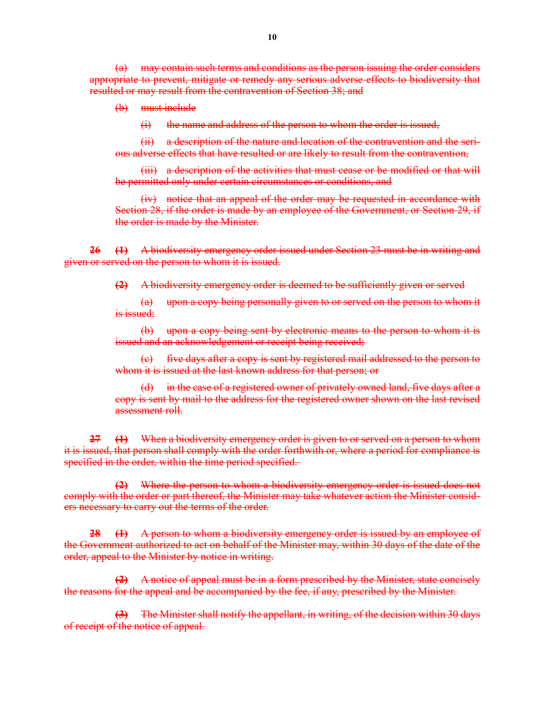(a) may contain such terms and conditions as the person issuing the order considers appropriate to prevent, mitigate or remedy any serious adverse effects to biodiversity that resulted or may result from the contravention of Section 38; and

(b) must include

(i) the name and address of the person to whom the order is issued,

(ii) a description of the nature and location of the contravention and the serious adverse effects that have resulted or are likely to result from the contravention,

(iii) a description of the activities that must cease or be modified or that will be permitted only under certain circumstances or conditions, and

(iv) notice that an appeal of the order may be requested in accordance with Section 28, if the order is made by an employee of the Government, or Section 29, if the order is made by the Minister.

26 (1) A biodiversity emergency order issued under Section 23 must be in writing and given or served on the person to whom it is issued.

(2) A biodiversity emergency order is deemed to be sufficiently given or served

(a) upon a copy being personally given to or served on the person to whom it is issued;

(b) upon a copy being sent by electronic means to the person to whom it is issued and an acknowledgement or receipt being received;

(c) five days after a copy is sent by registered mail addressed to the person to whom it is issued at the last known address for that person; or

in the case of a registered owner of privately owned land, five days after a copy is sent by mail to the address for the registered owner shown on the last revised assessment roll.

27 (1) When a biodiversity emergency order is given to or served on a person to whom it is issued, that person shall comply with the order forthwith or, where a period for compliance is specified in the order, within the time period specified.

(2) Where the person to whom a biodiversity emergency order is issued does not comply with the order or part thereof, the Minister may take whatever action the Minister considers necessary to carry out the terms of the order.

28 (1) A person to whom a biodiversity emergency order is issued by an employee of the Government authorized to act on behalf of the Minister may, within 30 days of the date of the order, appeal to the Minister by notice in writing.

(2) A notice of appeal must be in a form prescribed by the Minister, state concisely the reasons for the appeal and be accompanied by the fee, if any, prescribed by the Minister.

(3) The Minister shall notify the appellant, in writing, of the decision within 30 days of receipt of the notice of appeal.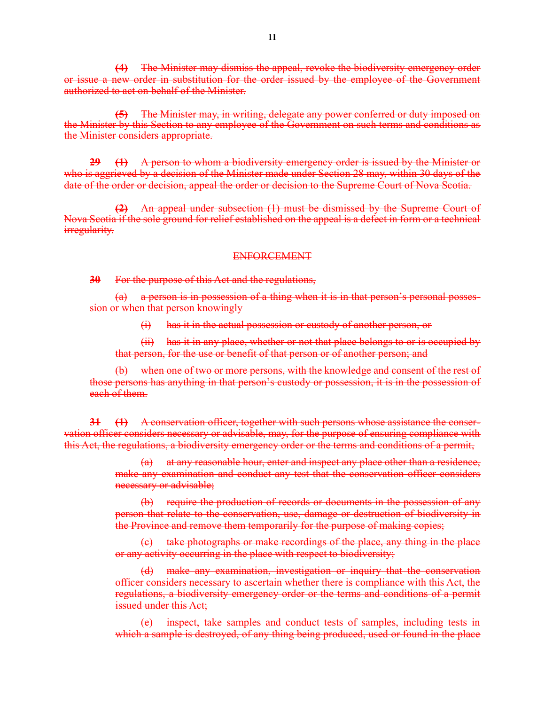(4) The Minister may dismiss the appeal, revoke the biodiversity emergency order or issue a new order in substitution for the order issued by the employee of the Government authorized to act on behalf of the Minister.

(5) The Minister may, in writing, delegate any power conferred or duty imposed on the Minister by this Section to any employee of the Government on such terms and conditions as the Minister considers appropriate.

29 (1) A person to whom a biodiversity emergency order is issued by the Minister or who is aggrieved by a decision of the Minister made under Section 28 may, within 30 days of the date of the order or decision, appeal the order or decision to the Supreme Court of Nova Scotia.

(2) An appeal under subsection (1) must be dismissed by the Supreme Court of Nova Scotia if the sole ground for relief established on the appeal is a defect in form or a technical irregularity.

#### **ENFORCEMENT**

30 For the purpose of this Act and the regulations,

(a) a person is in possession of a thing when it is in that person's personal possession or when that person knowingly

(i) has it in the actual possession or custody of another person, or

 $(ii)$  has it in any place, whether or not that place belongs to or is occupied by that person, for the use or benefit of that person or of another person; and

(b) when one of two or more persons, with the knowledge and consent of the rest of those persons has anything in that person's custody or possession, it is in the possession of each of them.

31 (1) A conservation officer, together with such persons whose assistance the conservation officer considers necessary or advisable, may, for the purpose of ensuring compliance with this Act, the regulations, a biodiversity emergency order or the terms and conditions of a permit,

> (a) at any reasonable hour, enter and inspect any place other than a residence, make any examination and conduct any test that the conservation officer considers necessary or advisable;

> (b) require the production of records or documents in the possession of any person that relate to the conservation, use, damage or destruction of biodiversity in the Province and remove them temporarily for the purpose of making copies;

> take photographs or make recordings of the place, any thing in the place or any activity occurring in the place with respect to biodiversity;

> (d) make any examination, investigation or inquiry that the conservation officer considers necessary to ascertain whether there is compliance with this Act, the regulations, a biodiversity emergency order or the terms and conditions of a permit issued under this Act;

> (e) inspect, take samples and conduct tests of samples, including tests in which a sample is destroyed, of any thing being produced, used or found in the place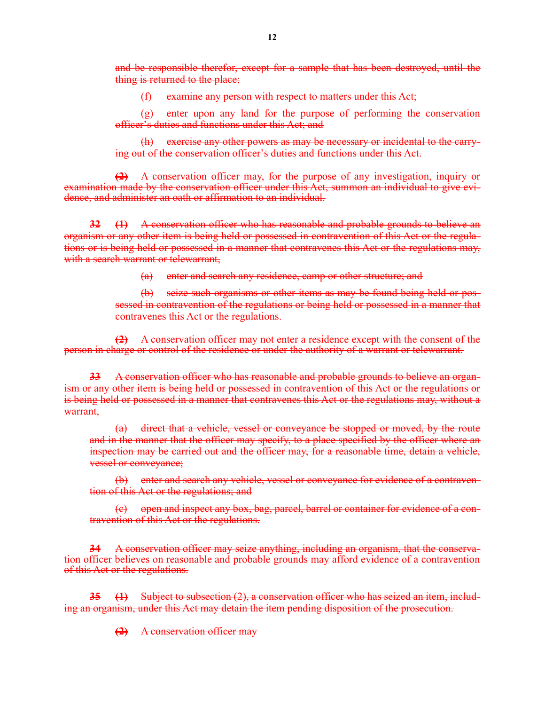and be responsible therefor, except for a sample that has been destroyed, until the thing is returned to the place;

(f) examine any person with respect to matters under this Act;

(g) enter upon any land for the purpose of performing the conservation officer's duties and functions under this Act; and

(h) exercise any other powers as may be necessary or incidental to the carrying out of the conservation officer's duties and functions under this Act.

(2) A conservation officer may, for the purpose of any investigation, inquiry or examination made by the conservation officer under this Act, summon an individual to give evidence, and administer an oath or affirmation to an individual.

32 (1) A conservation officer who has reasonable and probable grounds to believe an organism or any other item is being held or possessed in contravention of this Act or the regulations or is being held or possessed in a manner that contravenes this Act or the regulations may, with a search warrant or telewarrant.

(a) enter and search any residence, camp or other structure; and

(b) seize such organisms or other items as may be found being held or possessed in contravention of the regulations or being held or possessed in a manner that contravenes this Act or the regulations.

(2) A conservation officer may not enter a residence except with the consent of the person in charge or control of the residence or under the authority of a warrant or telewarrant.

33 A conservation officer who has reasonable and probable grounds to believe an organism or any other item is being held or possessed in contravention of this Act or the regulations or is being held or possessed in a manner that contravenes this Act or the regulations may, without a warrant,

(a) direct that a vehicle, vessel or conveyance be stopped or moved, by the route and in the manner that the officer may specify, to a place specified by the officer where an inspection may be carried out and the officer may, for a reasonable time, detain a vehicle, vessel or conveyance;

(b) enter and search any vehicle, vessel or conveyance for evidence of a contravention of this Act or the regulations; and

(c) open and inspect any box, bag, parcel, barrel or container for evidence of a contravention of this Act or the regulations.

34 A conservation officer may seize anything, including an organism, that the conservation officer believes on reasonable and probable grounds may afford evidence of a contravention of this Act or the regulations.

 $(1)$  Subject to subsection  $(2)$ , a conservation officer who has seized an item, including an organism, under this Act may detain the item pending disposition of the prosecution.

(2) A conservation officer may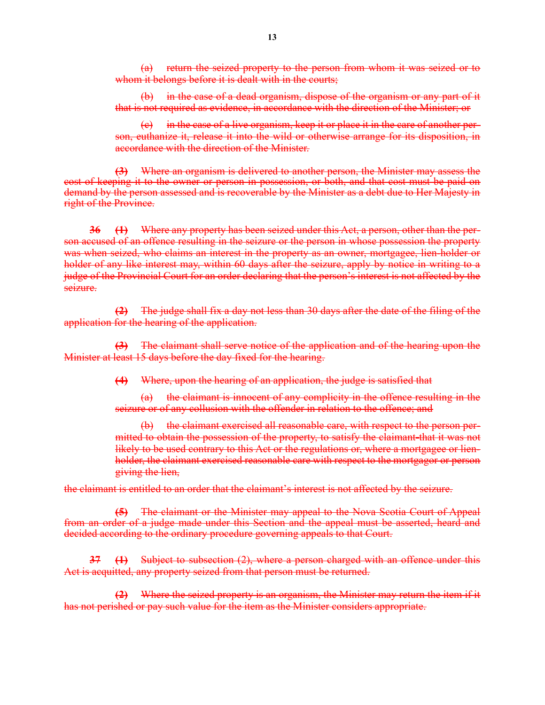return the seized property to the person from whom it was seized or to whom it belongs before it is dealt with in the courts;

(b) in the case of a dead organism, dispose of the organism or any part of it that is not required as evidence, in accordance with the direction of the Minister; or

(c) in the case of a live organism, keep it or place it in the care of another person, euthanize it, release it into the wild or otherwise arrange for its disposition, in accordance with the direction of the Minister.

(3) Where an organism is delivered to another person, the Minister may assess the cost of keeping it to the owner or person in possession, or both, and that cost must be paid on demand by the person assessed and is recoverable by the Minister as a debt due to Her Majesty in right of the Province.

36 (1) Where any property has been seized under this Act, a person, other than the person accused of an offence resulting in the seizure or the person in whose possession the property was when seized, who claims an interest in the property as an owner, mortgagee, lien-holder or holder of any like interest may, within 60 days after the seizure, apply by notice in writing to a judge of the Provincial Court for an order declaring that the person's interest is not affected by the seizure.

 $(2)$  The judge shall fix a day not less than 30 days after the date of the filing of the application for the hearing of the application.

(3) The claimant shall serve notice of the application and of the hearing upon the Minister at least 15 days before the day fixed for the hearing.

(4) Where, upon the hearing of an application, the judge is satisfied that

(a) the claimant is innocent of any complicity in the offence resulting in the seizure or of any collusion with the offender in relation to the offence; and

(b) the claimant exercised all reasonable care, with respect to the person permitted to obtain the possession of the property, to satisfy the claimant-that it was not likely to be used contrary to this Act or the regulations or, where a mortgagee or lienholder, the claimant exercised reasonable care with respect to the mortgagor or person giving the lien,

the claimant is entitled to an order that the claimant's interest is not affected by the seizure.

(5) The claimant or the Minister may appeal to the Nova Scotia Court of Appeal from an order of a judge made under this Section and the appeal must be asserted, heard and decided according to the ordinary procedure governing appeals to that Court.

 $37$  (1) Subject to subsection (2), where a person charged with an offence under this Act is acquitted, any property seized from that person must be returned.

 $(2)$  Where the seized property is an organism, the Minister may return the item if it has not perished or pay such value for the item as the Minister considers appropriate.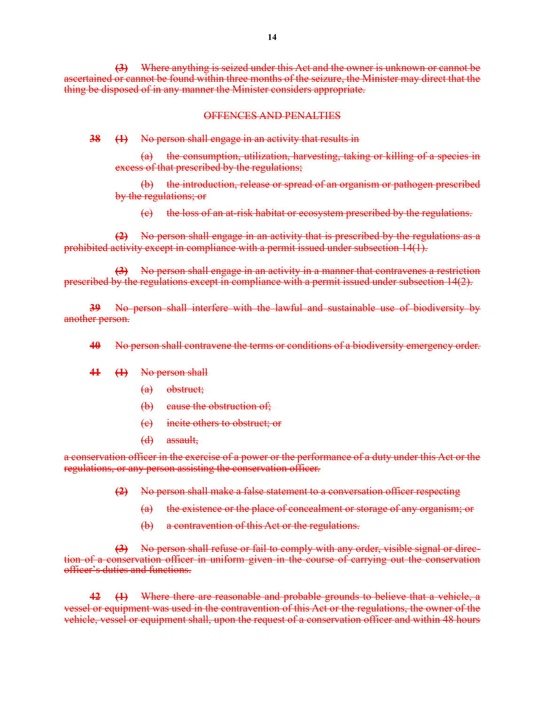(3) Where anything is seized under this Act and the owner is unknown or cannot be ascertained or cannot be found within three months of the seizure, the Minister may direct that the thing be disposed of in any manner the Minister considers appropriate.

### OFFENCES AND PENALTIES

38 (1) No person shall engage in an activity that results in

(a) the consumption, utilization, harvesting, taking or killing of a species in excess of that prescribed by the regulations;

(b) the introduction, release or spread of an organism or pathogen prescribed by the regulations; or

(c) the loss of an at-risk habitat or ecosystem prescribed by the regulations.

(2) No person shall engage in an activity that is prescribed by the regulations as a prohibited activity except in compliance with a permit issued under subsection 14(1).

(3) No person shall engage in an activity in a manner that contravenes a restriction prescribed by the regulations except in compliance with a permit issued under subsection 14(2).

39 No person shall interfere with the lawful and sustainable use of biodiversity by another person.

40 No person shall contravene the terms or conditions of a biodiversity emergency order.

44 (4) No person shall

- (a) obstruct;
- (b) eause the obstruction of;
- (c) incite others to obstruct; or
- (d) assault,

a conservation officer in the exercise of a power or the performance of a duty under this Act or the regulations, or any person assisting the conservation officer.

- (2) No person shall make a false statement to a conversation officer respecting
	- (a) the existence or the place of concealment or storage of any organism; or
	- (b) a contravention of this Act or the regulations.

(3) No person shall refuse or fail to comply with any order, visible signal or direction of a conservation officer in uniform given in the course of carrying out the conservation officer's duties and functions.

42 (1) Where there are reasonable and probable grounds to believe that a vehicle, a vessel or equipment was used in the contravention of this Act or the regulations, the owner of the vehicle, vessel or equipment shall, upon the request of a conservation officer and within 48 hours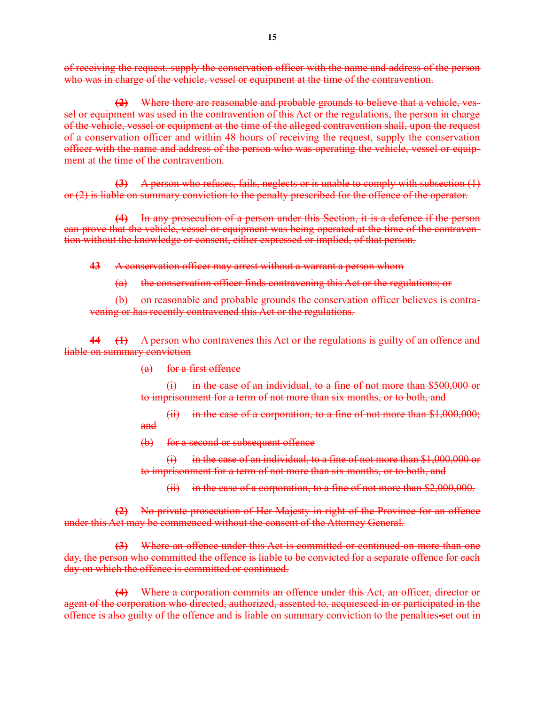of receiving the request, supply the conservation officer with the name and address of the person who was in charge of the vehicle, vessel or equipment at the time of the contravention.

(2) Where there are reasonable and probable grounds to believe that a vehicle, vessel or equipment was used in the contravention of this Act or the regulations, the person in charge of the vehicle, vessel or equipment at the time of the alleged contravention shall, upon the request of a conservation officer and within 48 hours of receiving the request, supply the conservation officer with the name and address of the person who was operating the vehicle, vessel or equipment at the time of the contravention.

 $\overrightarrow{3}$  A person who refuses, fails, neglects or is unable to comply with subsection  $(1)$ or (2) is liable on summary conviction to the penalty prescribed for the offence of the operator.

(4) In any prosecution of a person under this Section, it is a defence if the person can prove that the vehicle, vessel or equipment was being operated at the time of the contravention without the knowledge or consent, either expressed or implied, of that person.

43 A conservation officer may arrest without a warrant a person whom

(a) the conservation officer finds contravening this Act or the regulations; or

(b) on reasonable and probable grounds the conservation officer believes is contravening or has recently contravened this Act or the regulations.

44 (1) A person who contravenes this Act or the regulations is guilty of an offence and liable on summary conviction

(a) for a first offence

(i) in the case of an individual, to a fine of not more than \$500,000 or to imprisonment for a term of not more than six months, or to both, and

(ii) in the case of a corporation, to a fine of not more than  $$1,000,000;$ and

(b) for a second or subsequent offence

(i) in the case of an individual, to a fine of not more than \$1,000,000 or to imprisonment for a term of not more than six months, or to both, and

(ii) in the case of a corporation, to a fine of not more than \$2,000,000.

(2) No private prosecution of Her Majesty in right of the Province for an offence under this Act may be commenced without the consent of the Attorney General.

(3) Where an offence under this Act is committed or continued on more than one day, the person who committed the offence is liable to be convicted for a separate offence for each day on which the offence is committed or continued.

(4) Where a corporation commits an offence under this Act, an officer, director or agent of the corporation who directed, authorized, assented to, acquieseed in or participated in the offence is also guilty of the offence and is liable on summary conviction to the penalties-set out in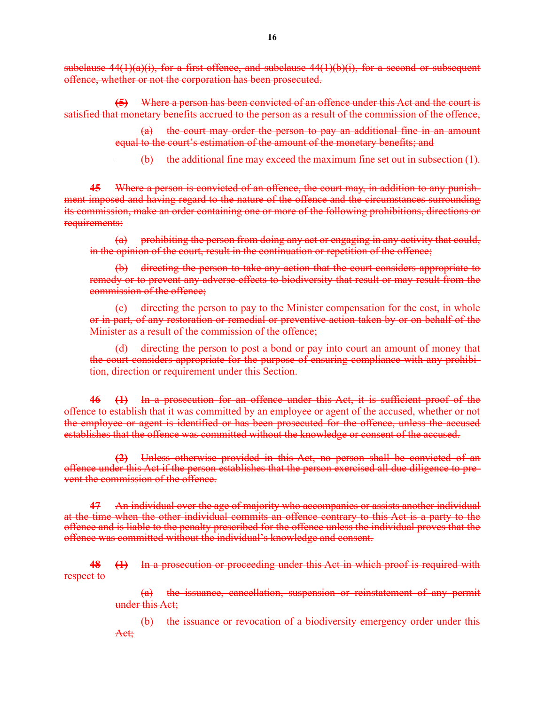subclause 44(1)(a)(i), for a first offence, and subclause 44(1)(b)(i), for a second or subsequent offence, whether or not the corporation has been prosecuted.

(5) Where a person has been convicted of an offence under this Act and the court is satisfied that monetary benefits accrued to the person as a result of the commission of the offence,

> the court may order the person to pay an additional fine in an amount equal to the court's estimation of the amount of the monetary benefits; and

(b) the additional fine may exceed the maximum fine set out in subsection  $(1)$ .

Where a person is convicted of an offence, the court may, in addition to any punishment imposed and having regard to the nature of the offence and the circumstances surrounding its commission, make an order containing one or more of the following prohibitions, directions or requirements:

(a) prohibiting the person from doing any act or engaging in any activity that could, in the opinion of the court, result in the continuation or repetition of the offence;

(b) directing the person to take any action that the court considers appropriate to remedy or to prevent any adverse effects to biodiversity that result or may result from the commission of the offence;

(c) directing the person to pay to the Minister compensation for the cost, in whole or in part, of any restoration or remedial or preventive action taken by or on behalf of the Minister as a result of the commission of the offence;

(d) directing the person to post a bond or pay into court an amount of money that the court considers appropriate for the purpose of ensuring compliance with any prohibition, direction or requirement under this Section.

46 (1) In a prosecution for an offence under this Act, it is sufficient proof of the offence to establish that it was committed by an employee or agent of the accused, whether or not the employee or agent is identified or has been prosecuted for the offence, unless the accused establishes that the offence was committed without the knowledge or consent of the accused.

(2) Unless otherwise provided in this Act, no person shall be convicted of an offence under this Act if the person establishes that the person exercised all due diligence to prevent the commission of the offence.

47 An individual over the age of majority who accompanies or assists another individual at the time when the other individual commits an offence contrary to this Act is a party to the offence and is liable to the penalty prescribed for the offence unless the individual proves that the offence was committed without the individual's knowledge and consent.

48 (1) In a prosecution or proceeding under this Act in which proof is required with respect to

> (a) the issuance, cancellation, suspension or reinstatement of any permit under this Act;

> (b) the issuance or revocation of a biodiversity emergency order under this Act;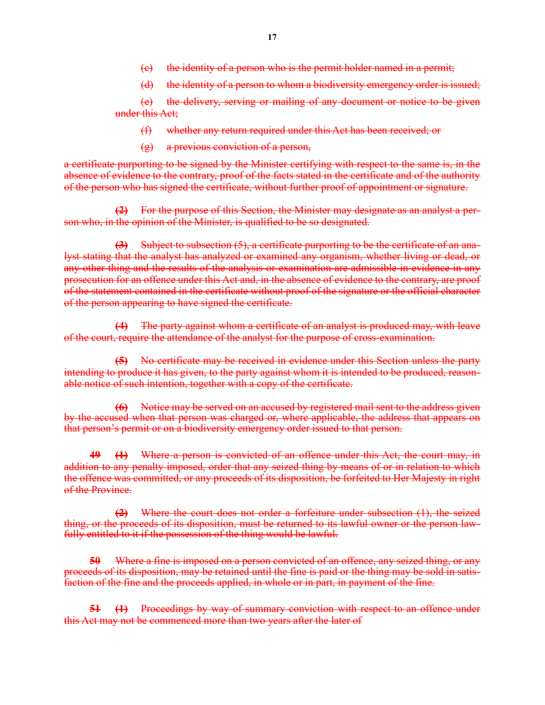- (c) the identity of a person who is the permit holder named in a permit;
- (d) the identity of a person to whom a biodiversity emergency order is issued;

(e) the delivery, serving or mailing of any document or notice to be given under this Act;

- (f) whether any return required under this Act has been received; or
- $(g)$  a previous conviction of a person,

a certificate purporting to be signed by the Minister certifying with respect to the same is, in the absence of evidence to the contrary, proof of the facts stated in the certificate and of the authority of the person who has signed the certificate, without further proof of appointment or signature.

(2) For the purpose of this Section, the Minister may designate as an analyst a person who, in the opinion of the Minister, is qualified to be so designated.

 $\left(3\right)$  Subject to subsection  $(5)$ , a certificate purporting to be the certificate of an analyst stating that the analyst has analyzed or examined any organism, whether living or dead, or any other thing and the results of the analysis or examination are admissible in evidence in any prosecution for an offence under this Act and, in the absence of evidence to the contrary, are proof of the statement contained in the certificate without proof of the signature or the official character of the person appearing to have signed the certificate.

(4) The party against whom a certificate of an analyst is produced may, with leave of the court, require the attendance of the analyst for the purpose of cross-examination.

(5) No certificate may be received in evidence under this Section unless the party intending to produce it has given, to the party against whom it is intended to be produced, reasonable notice of such intention, together with a copy of the certificate.

(6) Notice may be served on an accused by registered mail sent to the address given by the accused when that person was charged or, where applicable, the address that appears on that person's permit or on a biodiversity emergency order issued to that person.

49 (1) Where a person is convicted of an offence under this Act, the court may, in addition to any penalty imposed, order that any seized thing by means of or in relation to which the offence was committed, or any proceeds of its disposition, be forfeited to Her Majesty in right of the Province.

 $(2)$  Where the court does not order a forfeiture under subsection  $(1)$ , the seized thing, or the proceeds of its disposition, must be returned to its lawful owner or the person lawfully entitled to it if the possession of the thing would be lawful.

50 Where a fine is imposed on a person convicted of an offence, any seized thing, or any proceeds of its disposition, may be retained until the fine is paid or the thing may be sold in satisfaction of the fine and the proceeds applied, in whole or in part, in payment of the fine.

51 (1) Proceedings by way of summary conviction with respect to an offence under this Act may not be commenced more than two years after the later of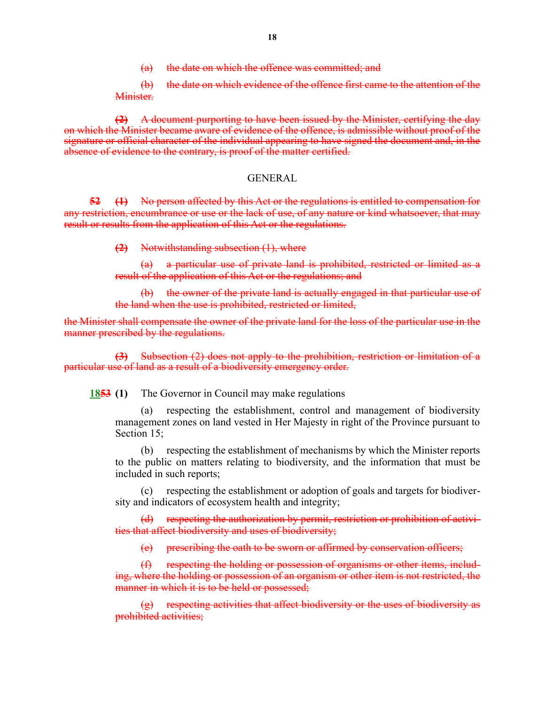(a) the date on which the offence was committed; and

(b) the date on which evidence of the offence first came to the attention of the Minister.

 $\left(2\right)$  A document purporting to have been issued by the Minister, certifying the day on which the Minister became aware of evidence of the offence, is admissible without proof of the signature or official character of the individual appearing to have signed the document and, in the absence of evidence to the contrary, is proof of the matter certified.

### GENERAL

52 (1) No person affected by this Act or the regulations is entitled to compensation for any restriction, encumbrance or use or the lack of use, of any nature or kind whatsoever, that may result or results from the application of this Act or the regulations.

 $(2)$  Notwithstanding subsection  $(1)$ , where

(a) a particular use of private land is prohibited, restricted or limited as a result of the application of this Act or the regulations; and

(b) the owner of the private land is actually engaged in that particular use of the land when the use is prohibited, restricted or limited,

the Minister shall compensate the owner of the private land for the loss of the particular use in the manner prescribed by the regulations.

(3) Subsection (2) does not apply to the prohibition, restriction or limitation of a particular use of land as a result of a biodiversity emergency order.

**1853 (1)** The Governor in Council may make regulations

respecting the establishment, control and management of biodiversity management zones on land vested in Her Majesty in right of the Province pursuant to Section 15;

(b) respecting the establishment of mechanisms by which the Minister reports to the public on matters relating to biodiversity, and the information that must be included in such reports;

respecting the establishment or adoption of goals and targets for biodiversity and indicators of ecosystem health and integrity;

respecting the authorization by permit, restriction or prohibition of activities that affect biodiversity and uses of biodiversity;

(e) prescribing the oath to be sworn or affirmed by conservation officers;

(f) respecting the holding or possession of organisms or other items, including, where the holding or possession of an organism or other item is not restricted, the manner in which it is to be held or possessed;

 $(g)$  respecting activities that affect biodiversity or the uses of biodiversity as prohibited activities;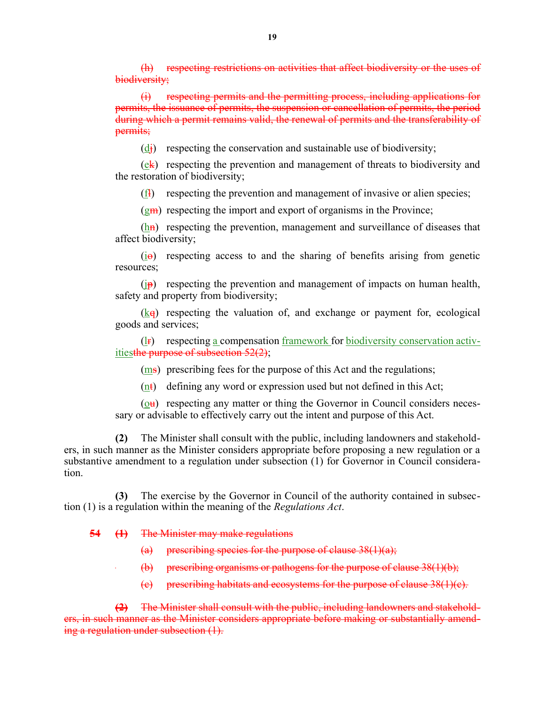(h) respecting restrictions on activities that affect biodiversity or the uses of biodiversity;

(i) respecting permits and the permitting process, including applications for permits, the issuance of permits, the suspension or cancellation of permits, the period during which a permit remains valid, the renewal of permits and the transferability of permits;

 $(d<sub>i</sub>)$  respecting the conservation and sustainable use of biodiversity;

 $(e^k)$  respecting the prevention and management of threats to biodiversity and the restoration of biodiversity;

 $(f<sub>1</sub>)$  respecting the prevention and management of invasive or alien species;

 $(g<sub>m</sub>)$  respecting the import and export of organisms in the Province;

 $(h_n)$  respecting the prevention, management and surveillance of diseases that affect biodiversity;

(io) respecting access to and the sharing of benefits arising from genetic resources;

 $(j_{\mathbf{P}})$  respecting the prevention and management of impacts on human health, safety and property from biodiversity;

 $(k<sub>q</sub>)$  respecting the valuation of, and exchange or payment for, ecological goods and services;

 $\frac{1}{\text{F}}$  respecting a compensation framework for biodiversity conservation activitiesthe purpose of subsection 52(2);

 $(m<sub>s</sub>)$  prescribing fees for the purpose of this Act and the regulations;

 $(n<sup>t</sup>)$  defining any word or expression used but not defined in this Act;

 $(o<sub>u</sub>)$  respecting any matter or thing the Governor in Council considers necessary or advisable to effectively carry out the intent and purpose of this Act.

(2) The Minister shall consult with the public, including landowners and stakeholders, in such manner as the Minister considers appropriate before proposing a new regulation or a substantive amendment to a regulation under subsection (1) for Governor in Council consideration.

(3) The exercise by the Governor in Council of the authority contained in subsection (1) is a regulation within the meaning of the Regulations Act.

- 54 (1) The Minister may make regulations
	- (a) prescribing species for the purpose of clause  $38(1)(a)$ ;
	- (b) prescribing organisms or pathogens for the purpose of clause 38(1)(b);
		- $(e)$  prescribing habitats and ecosystems for the purpose of clause  $38(1)(e)$ .

(2) The Minister shall consult with the public, including landowners and stakeholders, in such manner as the Minister considers appropriate before making or substantially amending a regulation under subsection (1).